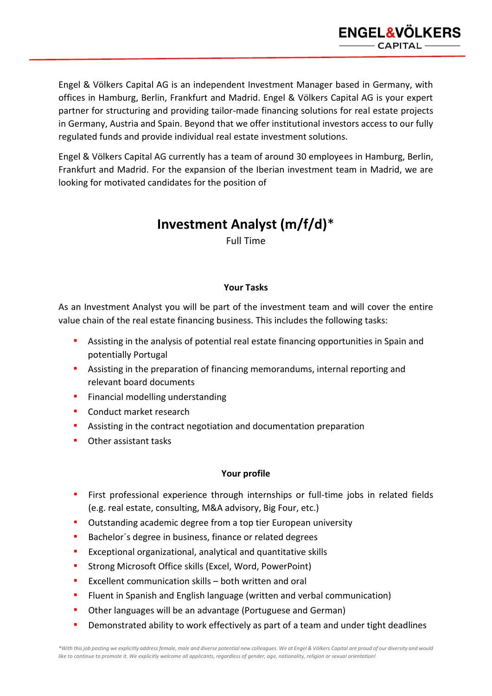

Engel & Völkers Capital AG is an independent Investment Manager based in Germany, with offices in Hamburg, Berlin, Frankfurt and Madrid. Engel & Völkers Capital AG is your expert partner for structuring and providing tailor-made financing solutions for real estate projects in Germany, Austria and Spain. Beyond that we offer institutional investors access to our fully regulated funds and provide individual real estate investment solutions.

Engel & Völkers Capital AG currently has a team of around 30 employees in Hamburg, Berlin, Frankfurt and Madrid. For the expansion of the Iberian investment team in Madrid, we are looking for motivated candidates for the position of

## **Investment Analyst (m/f/d)**\*

Full Time

## **Your Tasks**

As an Investment Analyst you will be part of the investment team and will cover the entire value chain of the real estate financing business. This includes the following tasks:

- Assisting in the analysis of potential real estate financing opportunities in Spain and potentially Portugal
- Assisting in the preparation of financing memorandums, internal reporting and relevant board documents
- **•** Financial modelling understanding
- Conduct market research
- Assisting in the contract negotiation and documentation preparation
- Other assistant tasks

## **Your profile**

- **EXTER 1** First professional experience through internships or full-time jobs in related fields (e.g. real estate, consulting, M&A advisory, Big Four, etc.)
- Outstanding academic degree from a top tier European university
- Bachelor's degree in business, finance or related degrees
- Exceptional organizational, analytical and quantitative skills
- Strong Microsoft Office skills (Excel, Word, PowerPoint)
- Excellent communication skills both written and oral
- Fluent in Spanish and English language (written and verbal communication)
- Other languages will be an advantage (Portuguese and German)
- **•** Demonstrated ability to work effectively as part of a team and under tight deadlines